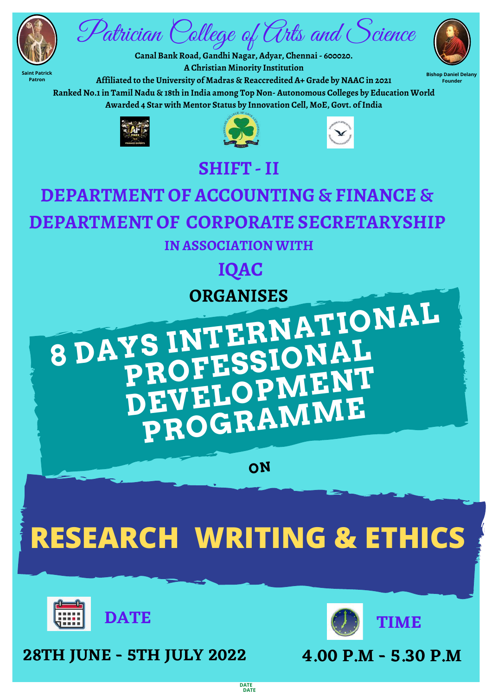**ON**

**Saint Patrick Patron**

**Bishop Daniel Delany**





**Founder**

## **<sup>8</sup> DAYS INTERNATIONAL YS IN LESSIONAL**<br>PROFESSIONAL **DEVELOPMENT PROGRAMME SHIFT -II DEPARTMENT OF ACCOUNTING & FINANCE & DEPARTMENT OF CORPORATE SECRETARYSHIP IN ASSOCIATION WITH IQAC ORGANISES**

**A Christian Minority Institution Affiliated to the University of Madras & Reaccredited A+ Grade by NAAC in 2021 Ranked No.1in Tamil Nadu & 18th in India among Top Non- Autonomous Colleges by Education World Awarded 4 Star with Mentor Status by Innovation Cell, MoE, Govt. ofIndia**







**28TH JUNE - 5TH JULY 2022 4.00 P.M - 5.30 P.M**



**DATE DATE**



# **RESEARCH WRITING & ETHICS**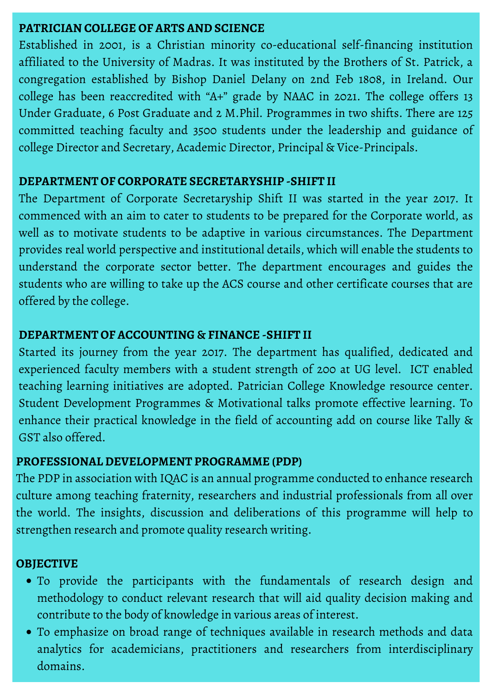#### **PATRICIAN COLLEGE OF ARTS AND SCIENCE**

Established in 2001, is a Christian minority co-educational self-financing institution affiliated to the University of Madras. It was instituted by the Brothers of St. Patrick, a congregation established by Bishop Daniel Delany on 2nd Feb 1808, in Ireland. Our college has been reaccredited with "A+" grade by NAAC in 2021. The college offers 13 Under Graduate, 6 Post Graduate and 2 M.Phil. Programmes in two shifts. There are 125 committed teaching faculty and 3500 students under the leadership and guidance of college Director and Secretary, Academic Director, Principal & Vice-Principals.

#### **DEPARTMENT OF CORPORATE SECRETARYSHIP -SHIFT II**

The Department of Corporate Secretaryship Shift II was started in the year 2017. It commenced with an aim to cater to students to be prepared for the Corporate world, as well as to motivate students to be adaptive in various circumstances. The Department provides real world perspective and institutional details, which will enable the students to understand the corporate sector better. The department encourages and guides the students who are willing to take up the ACS course and other certificate courses that are offered by the college.

#### **DEPARTMENT OF ACCOUNTING & FINANCE -SHIFT II**

Started its journey from the year 2017. The department has qualified, dedicated and experienced faculty members with a student strength of 200 at UG level. ICT enabled teaching learning initiatives are adopted. Patrician College Knowledge resource center. Student Development Programmes & Motivational talks promote effective learning. To enhance their practical knowledge in the field of accounting add on course like Tally & GST also offered.

- To provide the participants with the fundamentals of research design and methodology to conduct relevant research that will aid quality decision making and contribute to the body of knowledge in various areas of interest.
- To emphasize on broad range of techniques available in research methods and data analytics for academicians, practitioners and researchers from interdisciplinary domains.

#### **PROFESSIONAL DEVELOPMENT PROGRAMME (PDP)**

The PDP in association with IQAC is an annual programme conducted to enhance research culture among teaching fraternity, researchers and industrial professionals from all over the world. The insights, discussion and deliberations of this programme will help to strengthen research and promote quality research writing.

#### **OBJECTIVE**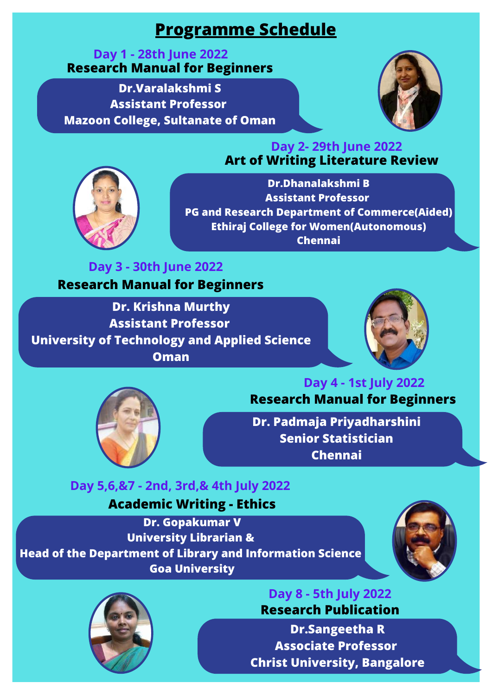**Dr. Krishna Murthy Assistant Professor University of Technology and Applied Science Oman**





**Dr. Padmaja Priyadharshini Senior Statistician Chennai**

#### **Art of Writing Literature Review Day 2- 29th June 2022**



**Dr.Dhanalakshmi B Assistant Professor PG and Research Department of Commerce(Aided) Ethiraj College for Women(Autonomous) Chennai**

## **Programme Schedule**

#### **Day 1 - 28th June 2022 Research Manual for Beginners**

**Dr.Varalakshmi S Assistant Professor Mazoon College, Sultanate of Oman**



**Dr. Gopakumar V University Librarian & Head of the Department of Library and Information Science Goa University**





**Dr.Sangeetha R Associate Professor Christ University, Bangalore**

## **Day 5,6,&7 - 2nd, 3rd,& 4th July 2022**

## **Day 3 - 30th June 2022 Research Manual for Beginners**

## **Day 4 - 1st July 2022 Research Manual for Beginners**

#### **Day 8 - 5th July 2022 Research Publication**

### **Academic Writing - Ethics**